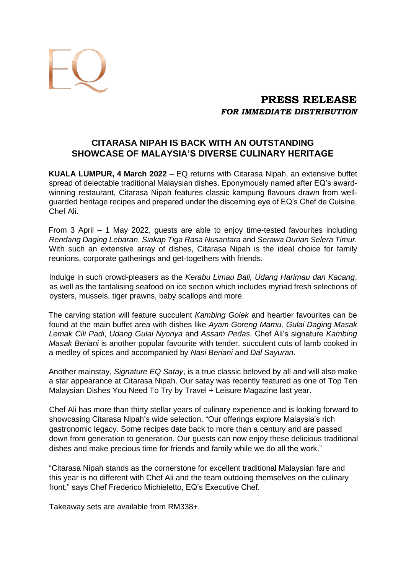

# **PRESS RELEASE**  *FOR IMMEDIATE DISTRIBUTION*

## **CITARASA NIPAH IS BACK WITH AN OUTSTANDING SHOWCASE OF MALAYSIA'S DIVERSE CULINARY HERITAGE**

**KUALA LUMPUR, 4 March 2022** – EQ returns with Citarasa Nipah, an extensive buffet spread of delectable traditional Malaysian dishes. Eponymously named after EQ's awardwinning restaurant, Citarasa Nipah features classic kampung flavours drawn from wellguarded heritage recipes and prepared under the discerning eye of EQ's Chef de Cuisine, Chef Ali.

From 3 April – 1 May 2022, guests are able to enjoy time-tested favourites including *Rendang Daging Lebaran*, *Siakap Tiga Rasa Nusantara* and *Serawa Durian Selera Timur.* With such an extensive array of dishes, Citarasa Nipah is the ideal choice for family reunions, corporate gatherings and get-togethers with friends.

Indulge in such crowd-pleasers as the *Kerabu Limau Bali, Udang Harimau dan Kacang*, as well as the tantalising seafood on ice section which includes myriad fresh selections of oysters, mussels, tiger prawns, baby scallops and more.

The carving station will feature succulent *Kambing Golek* and heartier favourites can be found at the main buffet area with dishes like *Ayam Goreng Mamu, Gulai Daging Masak Lemak Cili Padi*, *Udang Gulai Nyonya* and *Assam Pedas*. Chef Ali's signature *Kambing Masak Beriani* is another popular favourite with tender, succulent cuts of lamb cooked in a medley of spices and accompanied by *Nasi Beriani* and *Dal Sayuran*.

Another mainstay, *Signature EQ Satay*, is a true classic beloved by all and will also make a star appearance at Citarasa Nipah. Our satay was recently featured as one of Top Ten Malaysian Dishes You Need To Try by Travel + Leisure Magazine last year.

Chef Ali has more than thirty stellar years of culinary experience and is looking forward to showcasing Citarasa Nipah's wide selection. "Our offerings explore Malaysia's rich gastronomic legacy. Some recipes date back to more than a century and are passed down from generation to generation. Our guests can now enjoy these delicious traditional dishes and make precious time for friends and family while we do all the work."

"Citarasa Nipah stands as the cornerstone for excellent traditional Malaysian fare and this year is no different with Chef Ali and the team outdoing themselves on the culinary front," says Chef Frederico Michieletto, EQ's Executive Chef.

Takeaway sets are available from RM338+.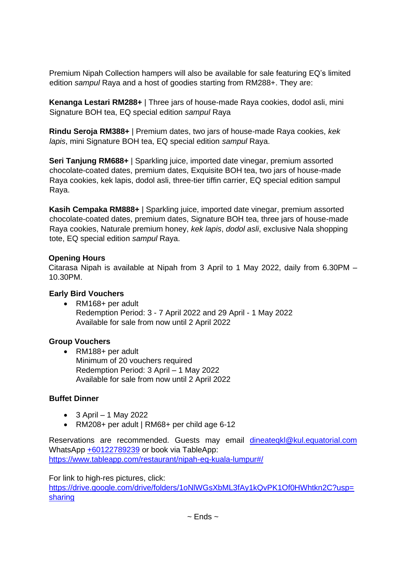Premium Nipah Collection hampers will also be available for sale featuring EQ's limited edition *sampul* Raya and a host of goodies starting from RM288+. They are:

**Kenanga Lestari RM288+** | Three jars of house-made Raya cookies, dodol asli, mini Signature BOH tea, EQ special edition *sampul* Raya

**Rindu Seroja RM388+** | Premium dates, two jars of house-made Raya cookies, *kek lapis*, mini Signature BOH tea, EQ special edition *sampul* Raya.

**Seri Tanjung RM688+** | Sparkling juice, imported date vinegar, premium assorted chocolate-coated dates, premium dates, Exquisite BOH tea, two jars of house-made Raya cookies, kek lapis, dodol asli, three-tier tiffin carrier, EQ special edition sampul Raya.

**Kasih Cempaka RM888+** | Sparkling juice, imported date vinegar, premium assorted chocolate-coated dates, premium dates, Signature BOH tea, three jars of house-made Raya cookies, Naturale premium honey, *kek lapis*, *dodol asli*, exclusive Nala shopping tote, EQ special edition *sampul* Raya.

### **Opening Hours**

Citarasa Nipah is available at Nipah from 3 April to 1 May 2022, daily from 6.30PM – 10.30PM.

### **Early Bird Vouchers**

• RM168+ per adult Redemption Period: 3 - 7 April 2022 and 29 April - 1 May 2022 Available for sale from now until 2 April 2022

## **Group Vouchers**

• RM188+ per adult Minimum of 20 vouchers required Redemption Period: 3 April – 1 May 2022 Available for sale from now until 2 April 2022

## **Buffet Dinner**

- $\bullet$  3 April 1 May 2022
- RM208+ per adult | RM68+ per child age 6-12

Reservations are recommended. Guests may email [dineateqkl@kul.equatorial.com](mailto:dineateqkl@kul.equatorial.com) WhatsApp [+60122789239](https://api.whatsapp.com/send?phone=60122789239&text=Hello%20EQ!%20Tell%20me%20more%20about%20Citarasa%20Nipah) or book via TableApp: <https://www.tableapp.com/restaurant/nipah-eq-kuala-lumpur#/>

For link to high-res pictures, click:

[https://drive.google.com/drive/folders/1oNlWGsXbML3fAy1kQvPK1Of0HWhtkn2C?usp=](https://drive.google.com/drive/folders/1oNlWGsXbML3fAy1kQvPK1Of0HWhtkn2C?usp=sharing) [sharing](https://drive.google.com/drive/folders/1oNlWGsXbML3fAy1kQvPK1Of0HWhtkn2C?usp=sharing)